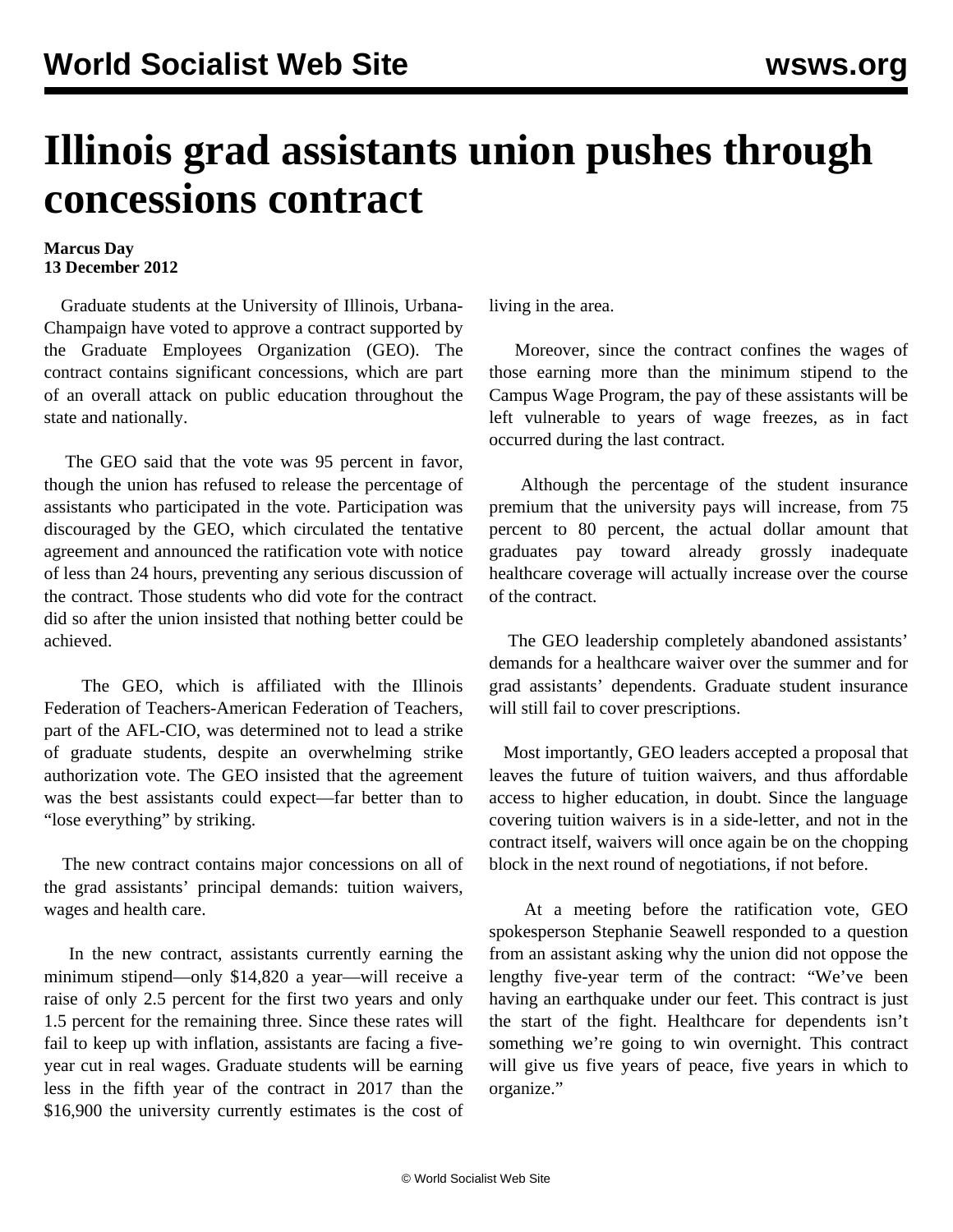## **Illinois grad assistants union pushes through concessions contract**

## **Marcus Day 13 December 2012**

 Graduate students at the University of Illinois, Urbana-Champaign have voted to approve a contract supported by the Graduate Employees Organization (GEO). The contract contains significant concessions, which are part of an overall attack on public education throughout the state and nationally.

 The GEO said that the vote was 95 percent in favor, though the union has refused to release the percentage of assistants who participated in the vote. Participation was discouraged by the GEO, which circulated the tentative agreement and announced the ratification vote with notice of less than 24 hours, preventing any serious discussion of the contract. Those students who did vote for the contract did so after the union insisted that nothing better could be achieved.

 The GEO, which is affiliated with the Illinois Federation of Teachers-American Federation of Teachers, part of the AFL-CIO, was determined not to lead a strike of graduate students, despite an overwhelming strike authorization vote. The GEO insisted that the agreement was the best assistants could expect—far better than to "lose everything" by striking.

 The new contract contains major concessions on all of the grad assistants' principal demands: tuition waivers, wages and health care.

 In the new contract, assistants currently earning the minimum stipend—only \$14,820 a year—will receive a raise of only 2.5 percent for the first two years and only 1.5 percent for the remaining three. Since these rates will fail to keep up with inflation, assistants are facing a fiveyear cut in real wages. Graduate students will be earning less in the fifth year of the contract in 2017 than the \$16,900 the university currently estimates is the cost of living in the area.

 Moreover, since the contract confines the wages of those earning more than the minimum stipend to the Campus Wage Program, the pay of these assistants will be left vulnerable to years of wage freezes, as in fact occurred during the last contract.

 Although the percentage of the student insurance premium that the university pays will increase, from 75 percent to 80 percent, the actual dollar amount that graduates pay toward already grossly inadequate healthcare coverage will actually increase over the course of the contract.

 The GEO leadership completely abandoned assistants' demands for a healthcare waiver over the summer and for grad assistants' dependents. Graduate student insurance will still fail to cover prescriptions.

 Most importantly, GEO leaders accepted a proposal that leaves the future of tuition waivers, and thus affordable access to higher education, in doubt. Since the language covering tuition waivers is in a side-letter, and not in the contract itself, waivers will once again be on the chopping block in the next round of negotiations, if not before.

 At a meeting before the ratification vote, GEO spokesperson Stephanie Seawell responded to a question from an assistant asking why the union did not oppose the lengthy five-year term of the contract: "We've been having an earthquake under our feet. This contract is just the start of the fight. Healthcare for dependents isn't something we're going to win overnight. This contract will give us five years of peace, five years in which to organize."